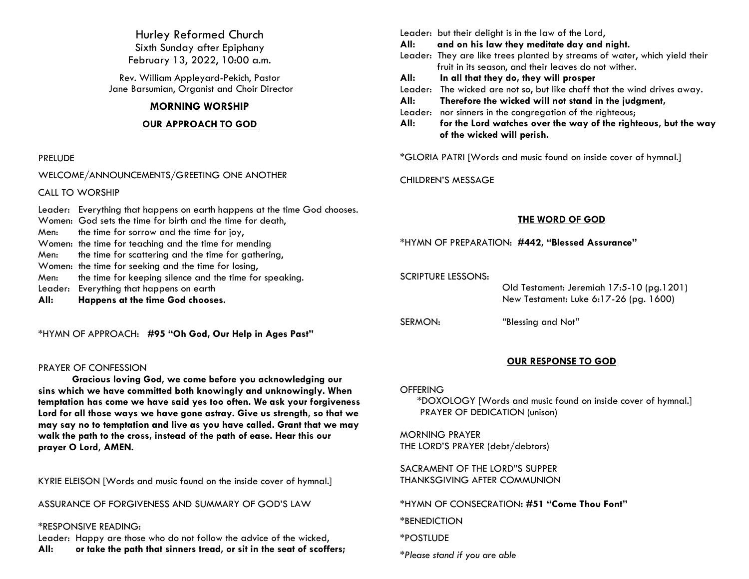Hurley Reformed Church Sixth Sunday after Epiphany February 13, 2022, 10:00 a.m.

Rev. William Appleyard-Pekich, Pastor Jane Barsumian, Organist and Choir Director

### **MORNING WORSHIP**

### **OUR APPROACH TO GOD**

### PRELUDE

WELCOME/ANNOUNCEMENTS/GREETING ONE ANOTHER

CALL TO WORSHIP

Leader: Everything that happens on earth happens at the time God chooses. Women: God sets the time for birth and the time for death, Men: the time for sorrow and the time for joy, Women: the time for teaching and the time for mending Men: the time for scattering and the time for gathering, Women: the time for seeking and the time for losing, Men: the time for keeping silence and the time for speaking. Leader: Everything that happens on earth **All: Happens at the time God chooses.**

\*HYMN OF APPROACH: **#95 "Oh God, Our Help in Ages Past"**

### PRAYER OF CONFESSION

**Gracious loving God, we come before you acknowledging our sins which we have committed both knowingly and unknowingly. When temptation has come we have said yes too often. We ask your forgiveness Lord for all those ways we have gone astray. Give us strength, so that we may say no to temptation and live as you have called. Grant that we may walk the path to the cross, instead of the path of ease. Hear this our prayer O Lord, AMEN.**

KYRIE ELEISON [Words and music found on the inside cover of hymnal.]

ASSURANCE OF FORGIVENESS AND SUMMARY OF GOD'S LAW

### \*RESPONSIVE READING:

Leader: Happy are those who do not follow the advice of the wicked, **All: or take the path that sinners tread, or sit in the seat of scoffers;** Leader: but their delight is in the law of the Lord,

**All: and on his law they meditate day and night.**

- Leader: They are like trees planted by streams of water, which yield their fruit in its season, and their leaves do not wither.
- **All: In all that they do, they will prosper**
- Leader: The wicked are not so, but like chaff that the wind drives away.
- **All: Therefore the wicked will not stand in the judgment,**
- Leader: nor sinners in the congregation of the righteous;

**All: for the Lord watches over the way of the righteous, but the way of the wicked will perish.** 

\*GLORIA PATRI [Words and music found on inside cover of hymnal.]

CHILDREN'S MESSAGE

### **THE WORD OF GOD**

\*HYMN OF PREPARATION: **#442, "Blessed Assurance"**

SCRIPTURE LESSONS:

 Old Testament: Jeremiah 17:5-10 (pg.1201) New Testament: Luke 6:17-26 (pg. 1600)

SERMON: *"*Blessing and Not*"*

## **OUR RESPONSE TO GOD**

### **OFFERING**

\*DOXOLOGY [Words and music found on inside cover of hymnal.] PRAYER OF DEDICATION (unison)

MORNING PRAYER THE LORD'S PRAYER (debt/debtors)

SACRAMENT OF THE LORD"S SUPPER THANKSGIVING AFTER COMMUNION

\*HYMN OF CONSECRATION**: #51 "Come Thou Font"**

\*BENEDICTION

\*POSTLUDE

*\*Please stand if you are able*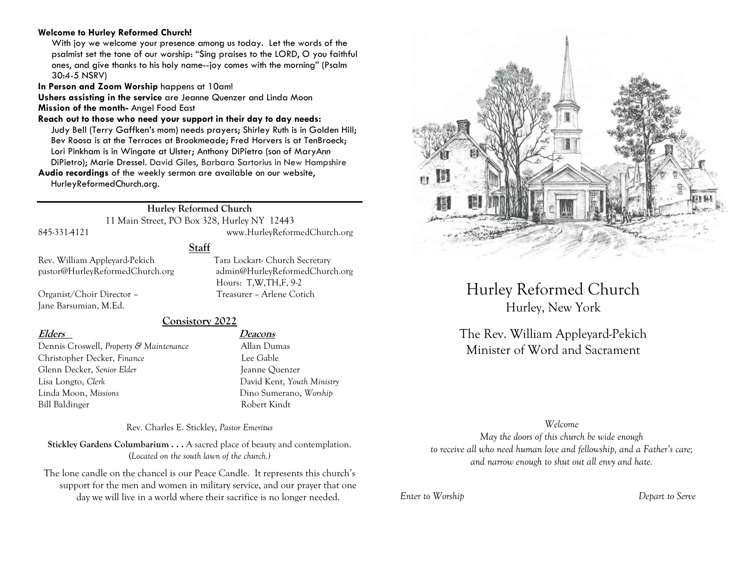### **Welcome to Hurley Reformed Church!**

With joy we welcome your presence among us today. Let the words of the psalmist set the tone of our worship: "Sing praises to the LORD, O you faithful ones, and give thanks to his holy name--joy comes with the morning" (Psalm 30:4-5 NSRV)

**In Person and Zoom Worship** happens at 10am!

**Ushers assisting in the service** are Jeanne Quenzer and Linda Moon **Mission of the month-** Angel Food East

**Reach out to those who need your support in their day to day needs:**  Judy Bell (Terry Gaffken's mom) needs prayers; Shirley Ruth is in Golden Hill; Bev Roosa is at the Terraces at Brookmeade; Fred Horvers is at TenBroeck; Lori Pinkham is in Wingate at Ulster; Anthony DiPietro (son of MaryAnn DiPietro); Marie Dressel. David Giles, Barbara Sartorius in New Hampshire

**Audio recordings** of the weekly sermon are available on our website, HurleyReformedChurch.org.

## **Hurley Reformed Church**

11 Main Street, PO Box 328, Hurley NY 12443 845-331-4121 www.HurleyReformedChurch.org

### **Staff**

Jane Barsumian, M.Ed.

Rev. William Appleyard-Pekich Tara Lockart- Church Secretary pastor@HurleyReformedChurch.org admin@HurleyReformedChurch.org Hours: T,W,TH,F, 9-2 Organist/Choir Director – Treasurer – Arlene Cotich

### **Consistory 2022**

Dennis Croswell, *Property & Maintenance* Allan Dumas Christopher Decker, *Finance* Lee Gable Glenn Decker, *Senior Elder* Jeanne Quenzer Lisa Longto, *Clerk* David Kent, *Youth Ministry* Linda Moon, *Missions* Dino Sumerano, *Worship* Bill Baldinger Robert Kindt

## **Elders Deacons**

Rev. Charles E. Stickley, *Pastor Emeritus*

**Stickley Gardens Columbarium . . .** A sacred place of beauty and contemplation. (*Located on the south lawn of the church.)* 

The lone candle on the chancel is our Peace Candle. It represents this church's support for the men and women in military service, and our prayer that one day we will live in a world where their sacrifice is no longer needed.



# Hurley Reformed Church Hurley, New York

The Rev. William Appleyard-Pekich Minister of Word and Sacrament

### *Welcome*

*May the doors of this church be wide enough to receive all who need human love and fellowship, and a Father's care; and narrow enough to shut out all envy and hate.*

*Enter to Worship Depart to Serve*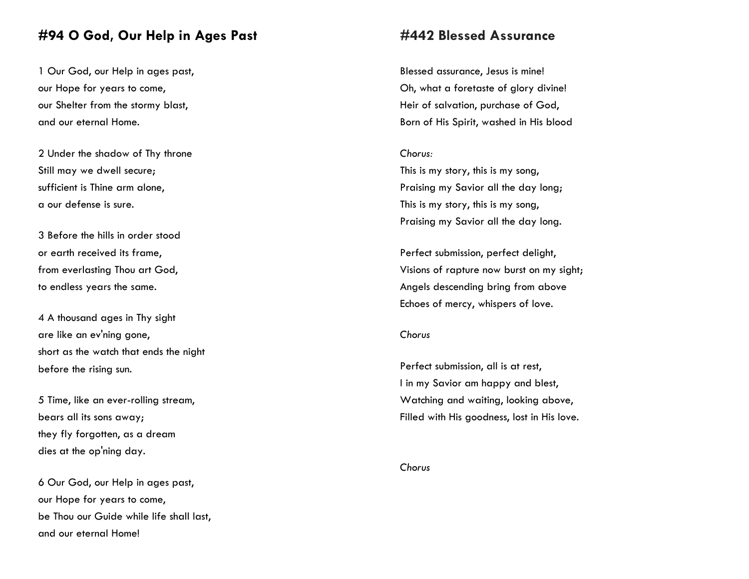## **#94 O God, Our Help in Ages Past**

1 Our God, our Help in ages past, our Hope for years to come, our Shelter from the stormy blast, and our eternal Home.

2 Under the shadow of Thy throne Still may we dwell secure; sufficient is Thine arm alone, a our defense is sure.

3 Before the hills in order stood or earth received its frame, from everlasting Thou art God, to endless years the same.

4 A thousand ages in Thy sight are like an ev'ning gone, short as the watch that ends the night before the rising sun.

5 Time, like an ever-rolling stream, bears all its sons away; they fly forgotten, as a dream dies at the op'ning day.

6 Our God, our Help in ages past, our Hope for years to come, be Thou our Guide while life shall last, and our eternal Home!

## **#442 Blessed Assurance**

Blessed assurance, Jesus is mine! Oh, what a foretaste of glory divine! Heir of salvation, purchase of God, Born of His Spirit, washed in His blood

### *Chorus:*

This is my story, this is my song, Praising my Savior all the day long; This is my story, this is my song, Praising my Savior all the day long.

Perfect submission, perfect delight, Visions of rapture now burst on my sight; Angels descending bring from above Echoes of mercy, whispers of love.

### *Chorus*

Perfect submission, all is at rest, I in my Savior am happy and blest, Watching and waiting, looking above, Filled with His goodness, lost in His love.

*Chorus*